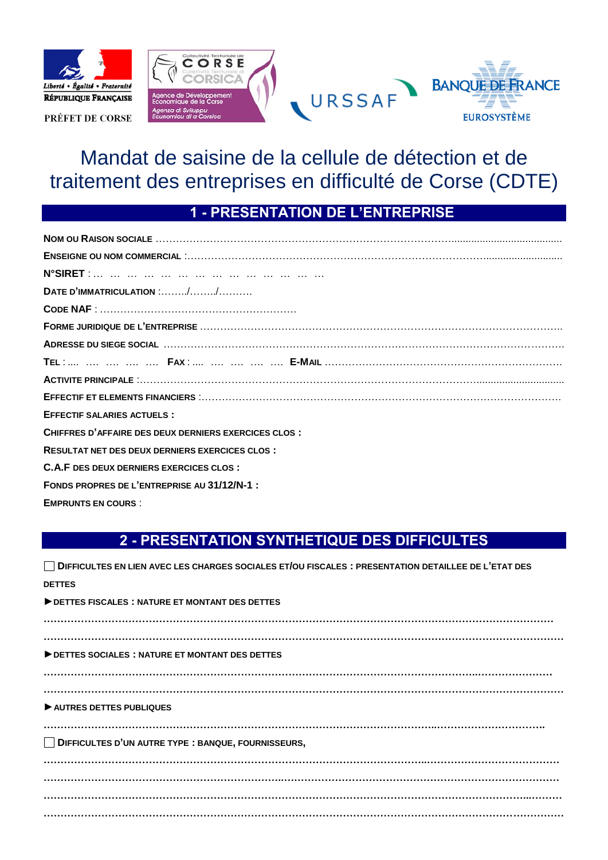

PRÉFET DE CORSE



# Mandat de saisine de la cellule de détection et de traitement des entreprises en difficulté de Corse (CDTE)

# **1 - PRESENTATION DE L'ENTREPRISE**

| DATE D'IMMATRICULATION $\ldots \ldots \ldots \ldots \ldots \ldots \ldots$ |
|---------------------------------------------------------------------------|
|                                                                           |
|                                                                           |
|                                                                           |
|                                                                           |
|                                                                           |
|                                                                           |
| <b>EFFECTIF SALARIES ACTUELS:</b>                                         |
| CHIFFRES D'AFFAIRE DES DEUX DERNIERS EXERCICES CLOS :                     |
| <b>RESULTAT NET DES DEUX DERNIERS EXERCICES CLOS:</b>                     |
| <b>C.A.F DES DEUX DERNIERS EXERCICES CLOS:</b>                            |
| FONDS PROPRES DE L'ENTREPRISE AU 31/12/N-1 :                              |
| <b>EMPRUNTS EN COURS:</b>                                                 |

## **2 - PRESENTATION SYNTHETIQUE DES DIFFICULTES**

| □ DIFFICULTES EN LIEN AVEC LES CHARGES SOCIALES ET/OU FISCALES : PRESENTATION DETAILLEE DE L'ETAT DES |
|-------------------------------------------------------------------------------------------------------|
| <b>DETTES</b>                                                                                         |
| DETTES FISCALES: NATURE ET MONTANT DES DETTES                                                         |
|                                                                                                       |
| DETTES SOCIALES : NATURE ET MONTANT DES DETTES                                                        |
|                                                                                                       |
| AUTRES DETTES PUBLIQUES                                                                               |
|                                                                                                       |
| DIFFICULTES D'UN AUTRE TYPE : BANQUE, FOURNISSEURS,                                                   |
|                                                                                                       |
|                                                                                                       |
|                                                                                                       |
|                                                                                                       |